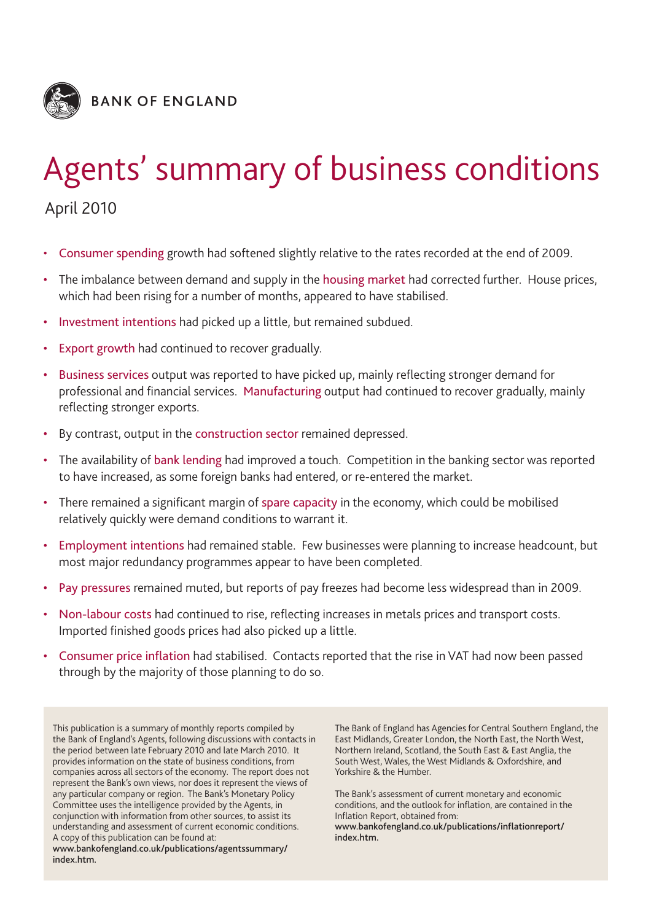

# Agents' summary of business conditions

April 2010

- Consumer spending growth had softened slightly relative to the rates recorded at the end of 2009.
- The imbalance between demand and supply in the housing market had corrected further. House prices, which had been rising for a number of months, appeared to have stabilised.
- Investment intentions had picked up a little, but remained subdued.
- Export growth had continued to recover gradually.
- Business services output was reported to have picked up, mainly reflecting stronger demand for professional and financial services. Manufacturing output had continued to recover gradually, mainly reflecting stronger exports.
- By contrast, output in the construction sector remained depressed.
- The availability of bank lending had improved a touch. Competition in the banking sector was reported to have increased, as some foreign banks had entered, or re-entered the market.
- There remained a significant margin of spare capacity in the economy, which could be mobilised relatively quickly were demand conditions to warrant it.
- Employment intentions had remained stable. Few businesses were planning to increase headcount, but most major redundancy programmes appear to have been completed.
- Pay pressures remained muted, but reports of pay freezes had become less widespread than in 2009.
- Non-labour costs had continued to rise, reflecting increases in metals prices and transport costs. Imported finished goods prices had also picked up a little.
- Consumer price inflation had stabilised. Contacts reported that the rise in VAT had now been passed through by the majority of those planning to do so.

This publication is a summary of monthly reports compiled by the Bank of England's Agents, following discussions with contacts in the period between late February 2010 and late March 2010. It provides information on the state of business conditions, from companies across all sectors of the economy. The report does not represent the Bank's own views, nor does it represent the views of any particular company or region. The Bank's Monetary Policy Committee uses the intelligence provided by the Agents, in conjunction with information from other sources, to assist its understanding and assessment of current economic conditions. A copy of this publication can be found at: **www.bankofengland.co.uk/publications/agentssummary/**

The Bank of England has Agencies for Central Southern England, the East Midlands, Greater London, the North East, the North West, Northern Ireland, Scotland, the South East & East Anglia, the South West, Wales, the West Midlands & Oxfordshire, and Yorkshire & the Humber.

The Bank's assessment of current monetary and economic conditions, and the outlook for inflation, are contained in the Inflation Report, obtained from: **www.bankofengland.co.uk/publications/inflationreport/ index.htm.**

**index.htm.**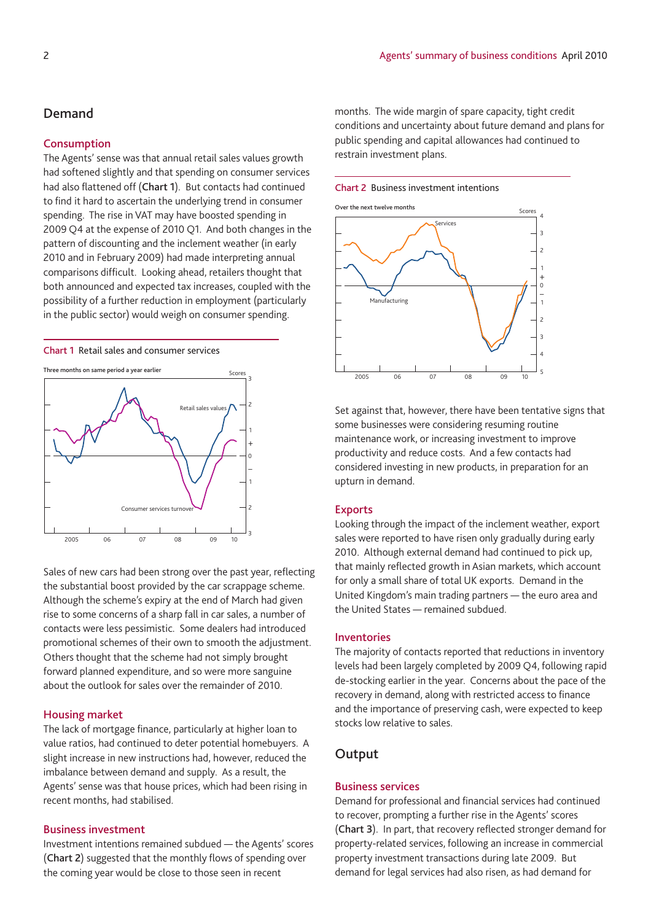# **Demand**

## **Consumption**

The Agents' sense was that annual retail sales values growth had softened slightly and that spending on consumer services had also flattened off (**Chart 1**). But contacts had continued to find it hard to ascertain the underlying trend in consumer spending. The rise in VAT may have boosted spending in 2009 Q4 at the expense of 2010 Q1. And both changes in the pattern of discounting and the inclement weather (in early 2010 and in February 2009) had made interpreting annual comparisons difficult. Looking ahead, retailers thought that both announced and expected tax increases, coupled with the possibility of a further reduction in employment (particularly in the public sector) would weigh on consumer spending.





Sales of new cars had been strong over the past year, reflecting the substantial boost provided by the car scrappage scheme. Although the scheme's expiry at the end of March had given rise to some concerns of a sharp fall in car sales, a number of contacts were less pessimistic. Some dealers had introduced promotional schemes of their own to smooth the adjustment. Others thought that the scheme had not simply brought forward planned expenditure, and so were more sanguine about the outlook for sales over the remainder of 2010.

## **Housing market**

The lack of mortgage finance, particularly at higher loan to value ratios, had continued to deter potential homebuyers. A slight increase in new instructions had, however, reduced the imbalance between demand and supply. As a result, the Agents' sense was that house prices, which had been rising in recent months, had stabilised.

## **Business investment**

Investment intentions remained subdued — the Agents' scores (**Chart 2**) suggested that the monthly flows of spending over the coming year would be close to those seen in recent

months. The wide margin of spare capacity, tight credit conditions and uncertainty about future demand and plans for public spending and capital allowances had continued to restrain investment plans.

#### **Chart 2** Business investment intentions



Set against that, however, there have been tentative signs that some businesses were considering resuming routine maintenance work, or increasing investment to improve productivity and reduce costs. And a few contacts had considered investing in new products, in preparation for an upturn in demand.

## **Exports**

Looking through the impact of the inclement weather, export sales were reported to have risen only gradually during early 2010. Although external demand had continued to pick up, that mainly reflected growth in Asian markets, which account for only a small share of total UK exports. Demand in the United Kingdom's main trading partners — the euro area and the United States — remained subdued.

#### **Inventories**

The majority of contacts reported that reductions in inventory levels had been largely completed by 2009 Q4, following rapid de-stocking earlier in the year. Concerns about the pace of the recovery in demand, along with restricted access to finance and the importance of preserving cash, were expected to keep stocks low relative to sales.

# **Output**

## **Business services**

Demand for professional and financial services had continued to recover, prompting a further rise in the Agents' scores (**Chart 3**). In part, that recovery reflected stronger demand for property-related services, following an increase in commercial property investment transactions during late 2009. But demand for legal services had also risen, as had demand for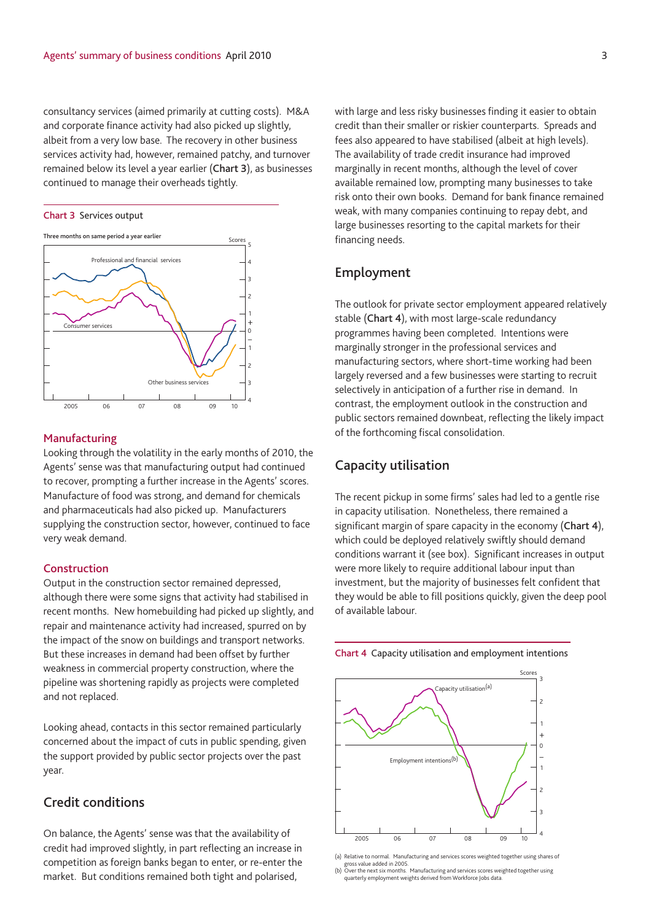consultancy services (aimed primarily at cutting costs). M&A and corporate finance activity had also picked up slightly, albeit from a very low base. The recovery in other business services activity had, however, remained patchy, and turnover remained below its level a year earlier (**Chart 3**), as businesses continued to manage their overheads tightly.



#### **Manufacturing**

Looking through the volatility in the early months of 2010, the Agents' sense was that manufacturing output had continued to recover, prompting a further increase in the Agents' scores. Manufacture of food was strong, and demand for chemicals and pharmaceuticals had also picked up. Manufacturers supplying the construction sector, however, continued to face very weak demand.

## **Construction**

Output in the construction sector remained depressed, although there were some signs that activity had stabilised in recent months. New homebuilding had picked up slightly, and repair and maintenance activity had increased, spurred on by the impact of the snow on buildings and transport networks. But these increases in demand had been offset by further weakness in commercial property construction, where the pipeline was shortening rapidly as projects were completed and not replaced.

Looking ahead, contacts in this sector remained particularly concerned about the impact of cuts in public spending, given the support provided by public sector projects over the past year.

# **Credit conditions**

On balance, the Agents' sense was that the availability of credit had improved slightly, in part reflecting an increase in competition as foreign banks began to enter, or re-enter the market. But conditions remained both tight and polarised,

with large and less risky businesses finding it easier to obtain credit than their smaller or riskier counterparts. Spreads and fees also appeared to have stabilised (albeit at high levels). The availability of trade credit insurance had improved marginally in recent months, although the level of cover available remained low, prompting many businesses to take risk onto their own books. Demand for bank finance remained weak, with many companies continuing to repay debt, and large businesses resorting to the capital markets for their financing needs.

## **Employment**

The outlook for private sector employment appeared relatively stable (**Chart 4**), with most large-scale redundancy programmes having been completed. Intentions were marginally stronger in the professional services and manufacturing sectors, where short-time working had been largely reversed and a few businesses were starting to recruit selectively in anticipation of a further rise in demand. In contrast, the employment outlook in the construction and public sectors remained downbeat, reflecting the likely impact of the forthcoming fiscal consolidation.

## **Capacity utilisation**

The recent pickup in some firms' sales had led to a gentle rise in capacity utilisation. Nonetheless, there remained a significant margin of spare capacity in the economy (**Chart 4**), which could be deployed relatively swiftly should demand conditions warrant it (see box). Significant increases in output were more likely to require additional labour input than investment, but the majority of businesses felt confident that they would be able to fill positions quickly, given the deep pool of available labour.



**Chart 4** Capacity utilisation and employment intentions

(a) Relative to normal. Manufacturing and services scores weighted together using shares of

gross value added in 2005. (b) Over the next six months. Manufacturing and services scores weighted together using quarterly employment weights derived from Workforce Jobs data.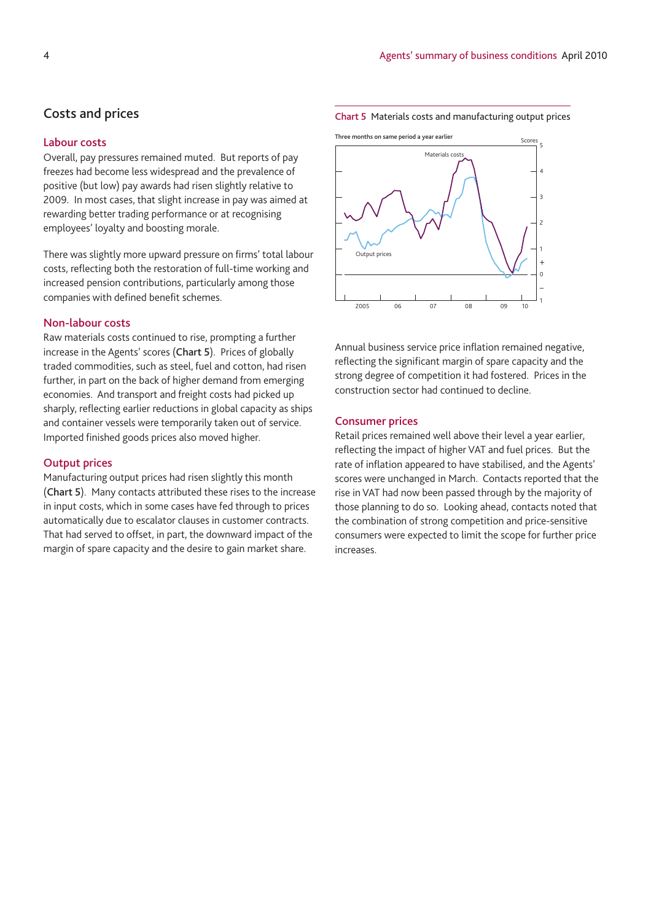# **Costs and prices**

#### **Labour costs**

Overall, pay pressures remained muted. But reports of pay freezes had become less widespread and the prevalence of positive (but low) pay awards had risen slightly relative to 2009. In most cases, that slight increase in pay was aimed at rewarding better trading performance or at recognising employees' loyalty and boosting morale.

There was slightly more upward pressure on firms' total labour costs, reflecting both the restoration of full-time working and increased pension contributions, particularly among those companies with defined benefit schemes.

## **Non-labour costs**

Raw materials costs continued to rise, prompting a further increase in the Agents' scores (**Chart 5**). Prices of globally traded commodities, such as steel, fuel and cotton, had risen further, in part on the back of higher demand from emerging economies. And transport and freight costs had picked up sharply, reflecting earlier reductions in global capacity as ships and container vessels were temporarily taken out of service. Imported finished goods prices also moved higher.

#### **Output prices**

Manufacturing output prices had risen slightly this month (**Chart 5**). Many contacts attributed these rises to the increase in input costs, which in some cases have fed through to prices automatically due to escalator clauses in customer contracts. That had served to offset, in part, the downward impact of the margin of spare capacity and the desire to gain market share.

**Chart 5** Materials costs and manufacturing output prices



Annual business service price inflation remained negative, reflecting the significant margin of spare capacity and the strong degree of competition it had fostered. Prices in the construction sector had continued to decline.

#### **Consumer prices**

Retail prices remained well above their level a year earlier, reflecting the impact of higher VAT and fuel prices. But the rate of inflation appeared to have stabilised, and the Agents' scores were unchanged in March. Contacts reported that the rise in VAT had now been passed through by the majority of those planning to do so. Looking ahead, contacts noted that the combination of strong competition and price-sensitive consumers were expected to limit the scope for further price increases.